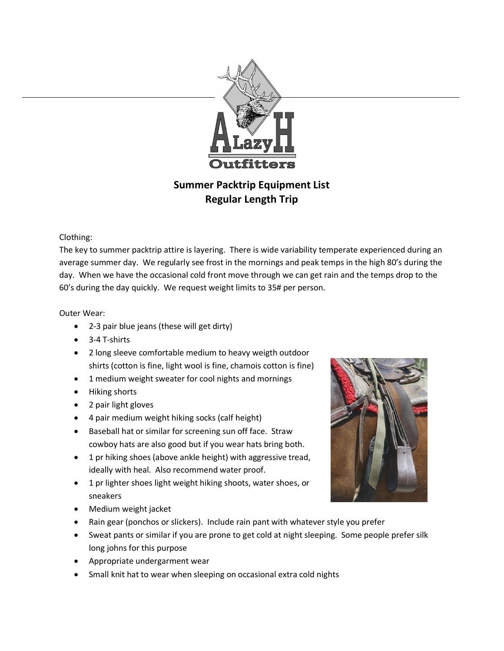

## **Summer Packtrip Equipment List Regular Length Trip**

## Clothing:

The key to summer packtrip attire is layering. There is wide variability temperate experienced during an average summer day. We regularly see frost in the mornings and peak temps in the high 80's during the day. When we have the occasional cold front move through we can get rain and the temps drop to the 60's during the day quickly. We request weight limits to 35# per person.

## Outer Wear:

- 2-3 pair blue jeans (these will get dirty)
- 3-4 T-shirts
- 2 long sleeve comfortable medium to heavy weigth outdoor shirts (cotton is fine, light wool is fine, chamois cotton is fine)
- 1 medium weight sweater for cool nights and mornings
- Hiking shorts
- 2 pair light gloves
- 4 pair medium weight hiking socks (calf height)
- Baseball hat or similar for screening sun off face. Straw cowboy hats are also good but if you wear hats bring both.
- 1 pr hiking shoes (above ankle height) with aggressive tread, ideally with heal. Also recommend water proof.
- 1 pr lighter shoes light weight hiking shoots, water shoes, or sneakers
- Medium weight jacket
- Rain gear (ponchos or slickers). Include rain pant with whatever style you prefer
- Sweat pants or similar if you are prone to get cold at night sleeping. Some people prefer silk long johns for this purpose
- Appropriate undergarment wear
- Small knit hat to wear when sleeping on occasional extra cold nights